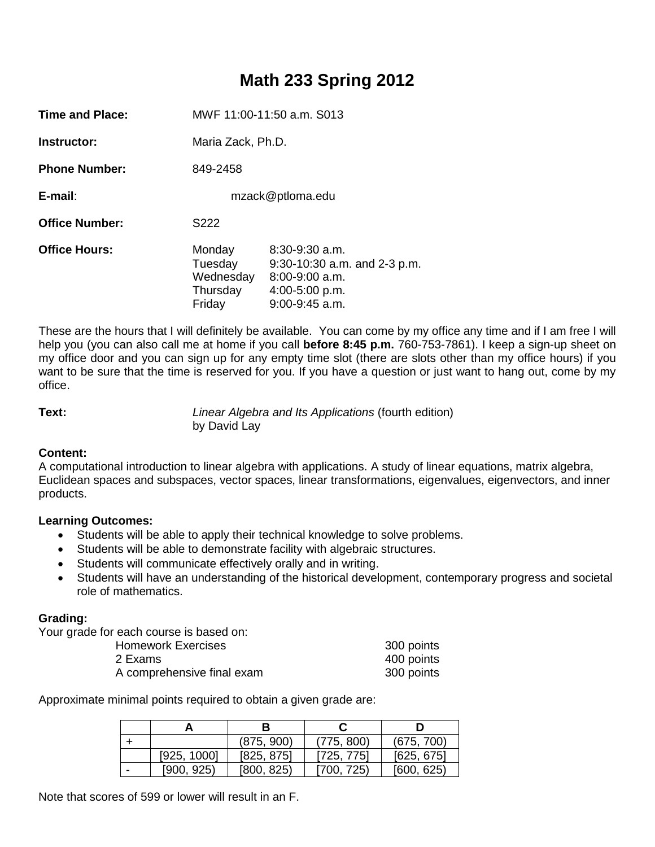# **Math 233 Spring 2012**

| Time and Place:       | MWF 11:00-11:50 a.m. S013                            |                                                                                                                |  |  |
|-----------------------|------------------------------------------------------|----------------------------------------------------------------------------------------------------------------|--|--|
| Instructor:           | Maria Zack, Ph.D.                                    |                                                                                                                |  |  |
| <b>Phone Number:</b>  | 849-2458                                             |                                                                                                                |  |  |
| $E$ -mail:            | mzack@ptloma.edu                                     |                                                                                                                |  |  |
| <b>Office Number:</b> | S222                                                 |                                                                                                                |  |  |
| <b>Office Hours:</b>  | Monday<br>Tuesday<br>Wednesday<br>Thursday<br>Friday | $8:30-9:30$ a.m.<br>$9:30-10:30$ a.m. and $2-3$ p.m.<br>$8:00-9:00$ a.m.<br>4:00-5:00 p.m.<br>$9:00-9:45$ a.m. |  |  |

These are the hours that I will definitely be available. You can come by my office any time and if I am free I will help you (you can also call me at home if you call **before 8:45 p.m.** 760-753-7861). I keep a sign-up sheet on my office door and you can sign up for any empty time slot (there are slots other than my office hours) if you want to be sure that the time is reserved for you. If you have a question or just want to hang out, come by my office.

**Text:** *Linear Algebra and Its Applications* (fourth edition) by David Lay

# **Content:**

A computational introduction to linear algebra with applications. A study of linear equations, matrix algebra, Euclidean spaces and subspaces, vector spaces, linear transformations, eigenvalues, eigenvectors, and inner products.

# **Learning Outcomes:**

- Students will be able to apply their technical knowledge to solve problems.
- Students will be able to demonstrate facility with algebraic structures.
- Students will communicate effectively orally and in writing.
- Students will have an understanding of the historical development, contemporary progress and societal role of mathematics.

# **Grading:**

Your grade for each course is based on:

| <b>Homework Exercises</b>  | 300 points |
|----------------------------|------------|
| 2 Exams                    | 400 points |
| A comprehensive final exam | 300 points |

Approximate minimal points required to obtain a given grade are:

|             | (875, 900) | (775, 800) | (675, 700) |  |
|-------------|------------|------------|------------|--|
| [925, 1000] | [825, 875] | [725, 775] | [625, 675] |  |
| [900, 925)  | [800, 825] | [700, 725) | [600, 625] |  |

Note that scores of 599 or lower will result in an F.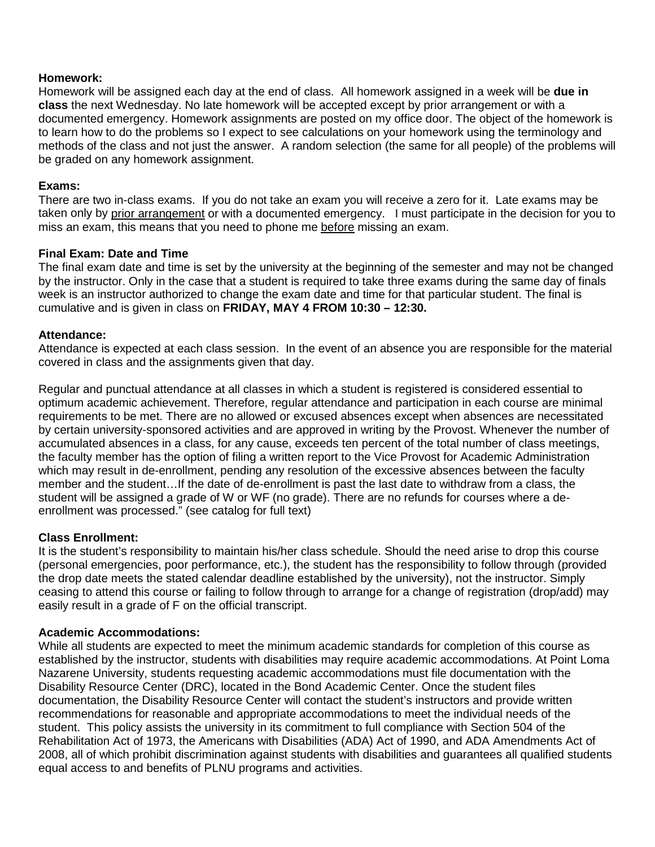# **Homework:**

Homework will be assigned each day at the end of class. All homework assigned in a week will be **due in class** the next Wednesday. No late homework will be accepted except by prior arrangement or with a documented emergency. Homework assignments are posted on my office door. The object of the homework is to learn how to do the problems so I expect to see calculations on your homework using the terminology and methods of the class and not just the answer. A random selection (the same for all people) of the problems will be graded on any homework assignment.

## **Exams:**

There are two in-class exams. If you do not take an exam you will receive a zero for it. Late exams may be taken only by prior arrangement or with a documented emergency. I must participate in the decision for you to miss an exam, this means that you need to phone me before missing an exam.

#### **Final Exam: Date and Time**

The final exam date and time is set by the university at the beginning of the semester and may not be changed by the instructor. Only in the case that a student is required to take three exams during the same day of finals week is an instructor authorized to change the exam date and time for that particular student. The final is cumulative and is given in class on **FRIDAY, MAY 4 FROM 10:30 – 12:30.** 

#### **Attendance:**

Attendance is expected at each class session. In the event of an absence you are responsible for the material covered in class and the assignments given that day.

Regular and punctual attendance at all classes in which a student is registered is considered essential to optimum academic achievement. Therefore, regular attendance and participation in each course are minimal requirements to be met. There are no allowed or excused absences except when absences are necessitated by certain university-sponsored activities and are approved in writing by the Provost. Whenever the number of accumulated absences in a class, for any cause, exceeds ten percent of the total number of class meetings, the faculty member has the option of filing a written report to the Vice Provost for Academic Administration which may result in de-enrollment, pending any resolution of the excessive absences between the faculty member and the student…If the date of de-enrollment is past the last date to withdraw from a class, the student will be assigned a grade of W or WF (no grade). There are no refunds for courses where a deenrollment was processed." (see catalog for full text)

# **Class Enrollment:**

It is the student's responsibility to maintain his/her class schedule. Should the need arise to drop this course (personal emergencies, poor performance, etc.), the student has the responsibility to follow through (provided the drop date meets the stated calendar deadline established by the university), not the instructor. Simply ceasing to attend this course or failing to follow through to arrange for a change of registration (drop/add) may easily result in a grade of F on the official transcript.

#### **Academic Accommodations:**

While all students are expected to meet the minimum academic standards for completion of this course as established by the instructor, students with disabilities may require academic accommodations. At Point Loma Nazarene University, students requesting academic accommodations must file documentation with the Disability Resource Center (DRC), located in the Bond Academic Center. Once the student files documentation, the Disability Resource Center will contact the student's instructors and provide written recommendations for reasonable and appropriate accommodations to meet the individual needs of the student. This policy assists the university in its commitment to full compliance with Section 504 of the Rehabilitation Act of 1973, the Americans with Disabilities (ADA) Act of 1990, and ADA Amendments Act of 2008, all of which prohibit discrimination against students with disabilities and guarantees all qualified students equal access to and benefits of PLNU programs and activities.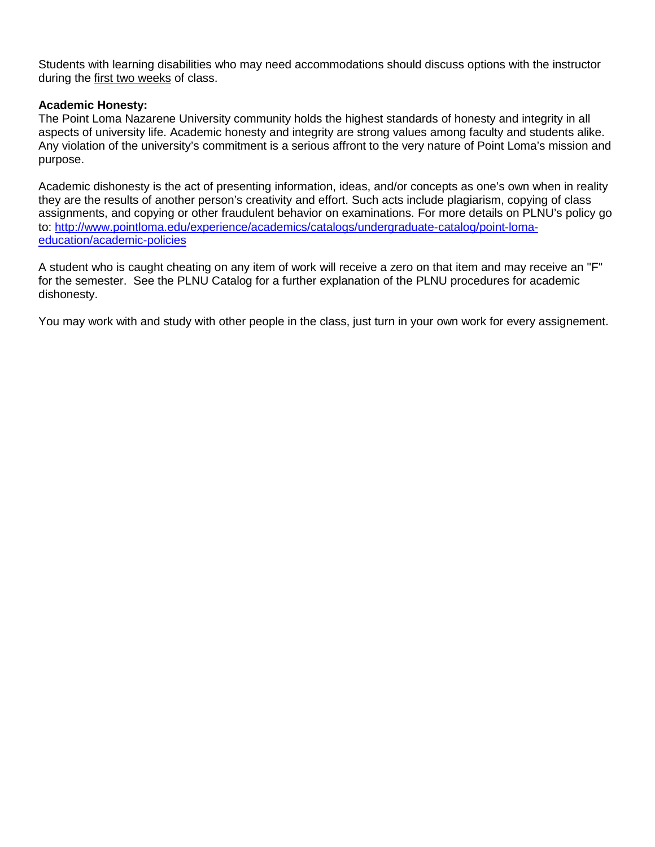Students with learning disabilities who may need accommodations should discuss options with the instructor during the first two weeks of class.

### **Academic Honesty:**

The Point Loma Nazarene University community holds the highest standards of honesty and integrity in all aspects of university life. Academic honesty and integrity are strong values among faculty and students alike. Any violation of the university's commitment is a serious affront to the very nature of Point Loma's mission and purpose.

Academic dishonesty is the act of presenting information, ideas, and/or concepts as one's own when in reality they are the results of another person's creativity and effort. Such acts include plagiarism, copying of class assignments, and copying or other fraudulent behavior on examinations. For more details on PLNU's policy go to: [http://www.pointloma.edu/experience/academics/catalogs/undergraduate-catalog/point-loma](http://www.pointloma.edu/experience/academics/catalogs/undergraduate-catalog/point-loma-education/academic-policies)[education/academic-policies](http://www.pointloma.edu/experience/academics/catalogs/undergraduate-catalog/point-loma-education/academic-policies)

A student who is caught cheating on any item of work will receive a zero on that item and may receive an "F" for the semester. See the PLNU Catalog for a further explanation of the PLNU procedures for academic dishonesty.

You may work with and study with other people in the class, just turn in your own work for every assignement.